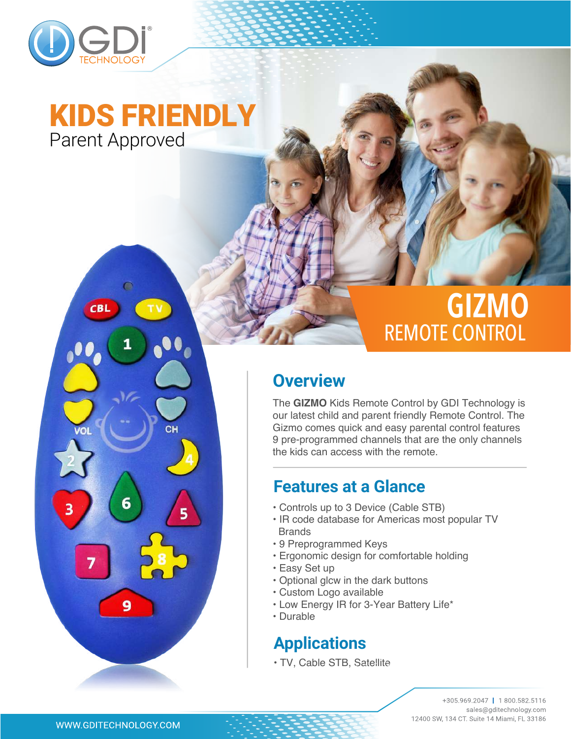

## Parent Approved KIDS FRIENDLY

◠

6

9

 $CB$ 

# **GIZMO** REMOTE CONTROL

### **Overview**

The **GIZMO** Kids Remote Control by GDI Technology is our latest child and parent friendly Remote Control. The Gizmo comes quick and easy parental control features 9 pre-programmed channels that are the only channels the kids can access with the remote.

### **Features at a Glance**

- Controls up to 3 Device (Cable STB)
- IR code database for Americas most popular TV Brands
- 9 Preprogrammed Keys
- Ergonomic design for comfortable holding
- Easy Set up
- Optional glcw in the dark buttons
- Custom Logo available
- Low Energy IR for 3-Year Battery Life\*
- Durable

### **Applications**

• TV, Cable STB, Satellite

+305.969.2047 | 1800.582.5116 sales@gditechnology.com 12400 SW, 134 CT. Suite 14 Miami, FL 33186